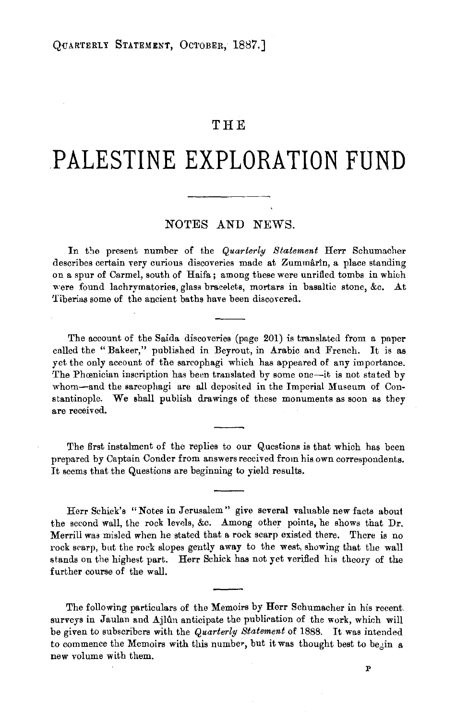## **THE**

## **PALESTINE EXPLORATION FUND**

## NOTES AND NEWS.

In the present number of the *Quarterly Statement* Herr Schumacher describes certain very curious discoveries made at Zummarin, a place standing on a spur of Carmel, south of Haifa; among these were unrifled tombs in whiuh were found lachrymatories, glass bracelets, mortars in basaltic stone, &c. At Tiberins some of the ancient baths have been discovered.

The account of the Saida discoveries (page 201) is translated from a paper called the "Bakeer," published in Beyrout, in Arabic and French. It is as yet the only account of the sarcophagi which has appeared of any importance. The Phœnician inscription has been translated by some one-it is not stated by whom-and the sarcophagi are all deposited in the Imperial Museum of Constantinople. We shall publish drawings of these monuments as soon as they are received.

The first instalment of the replies to our Questions is that which has been prepared by Captain Conder from answers received from his own correspondents. It seems that the Questions are beginning to yield results.

Herr Schick's "Notes in Jerusalem" give several valuable new facts about the second wall, the rock levels, &c. Among other points, he shows that Dr. Merrill was misled when he stated that a rock scarp existed there. There is no rock scarp, but the rock slopes gently away to the west, showing that the wall stands on the highest part. Herr Schick has not yet verified his theory of the further course of the wall.

The following particulars of the Memoirs by Herr Schumacher in his recent surveys in Jaulan and Ajlûn anticipate the publication of the work, which will be given to subscribers with the *Quarterly Statement* of 1888. It was intended to commence the Memoirs with this number, but it was thought best to be, in a new volume with them.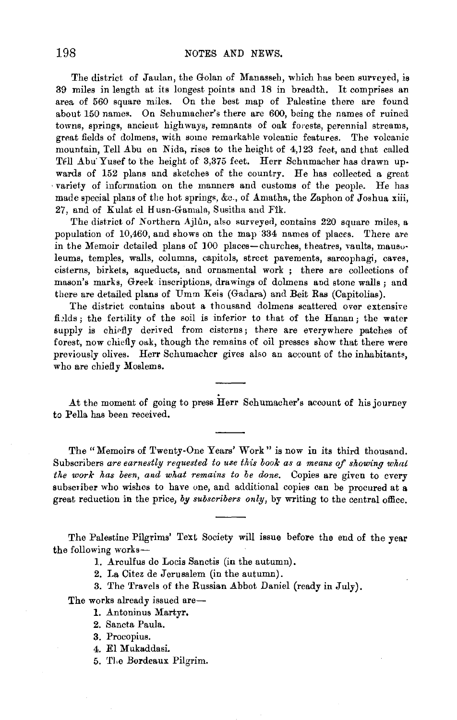The district of Jaulan, the Golan of Manasseh, which has been surveyed, is 39 miles in length at its longest points and 18 in breadth. It comprises an area of 560 square miles. On the best map of Palestine there are found about 150 names. On Schumacher's there are 600, being the names of ruined towns, springs, ancient high ways, remnants of oak forests, perennial streams, great fields of dolmens, with some remarkable volcanic features. The volcanic mountain, Tell Abu en Nida, rises to the height of 4,123 feet, and that called Tell Abu Yusef to the height of 3,375 feet. Herr Schumacher has drawn upwards of 152 plans and sketches of the country. He has collected a great variety of information on the manners and customs of the people. He has made special plans of the hot springs, &c., of Amatha, the Zaphon of Joshua xiii, 27, and of Kulat el Husn-Gamala, Susitha and Fik.

The district of Northern Ajlûn, also surveyed, contains 220 square miles, a population of 10,460, and shows on the map 334 names of places. There are in the Memoir detailed plans of 100 places-churches, theatres, vaults, mausoleums, temples, walls, columns, capitols, street pavements, sarcophagi, caves, cisterns, birkets, aqueducts, and ornamental work ; there are collections of mason's marks, Greek inscriptions, drawings of dolmens and stone walls; and there are detailed plans of Umm Keis (Gadara) and Beit Ras (Capitolias).

The district contains about a thousand dolmens scattered over extensive fields; the fertility of the soil is inferior to that of the Hanan; the water supply is chiefly derived from cisterns; there are everywhere patches of forest, now chiefly oak, though the remains of oil presses show that there were previously olives. Herr Schumacher gives also an account of the inhabitants, who are chiefly Moslems.

.At the moment of going to press Herr Schumacher's account of his journey to Pella has been received.

The "Memoirs of Twenty-One Yenrs' Work" is now in its third thousand. Subscribers *are earnestly requested to use this book as a means of showing what the work has been, and what remains to be done.* Copies are given to every subscriber who wishes to have one, and additional copies can be procured at a great reduction in the price, *by subscribers only,* by writing to the central office.

The Palestine Pilgrims' Text Society will issue before the end of the year the following works-

1. Arculfus de Locis Sanctis (in the autumn).

2. La Citez de Jerusalem (in the autumn).

3. The Travels of the Russian Abbot Daniel (ready in July).

The works already issued are-

- 1. Antoninus Martyr.
- 2. Sancta Paula.
- 3. Procopius.
- 4. El Mukaddasi.
- 5. TJ.e Bordeaux Pilgrim.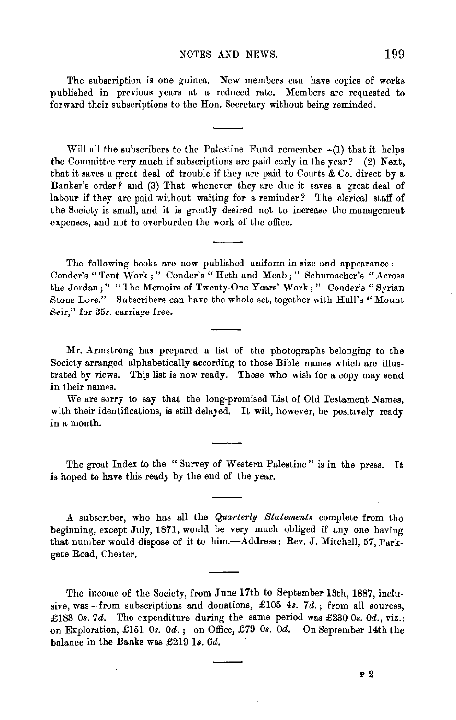The subscription is one guinea. New members can have copies of works published in previous years at a reduced rate. Members are requested to forward their subscriptions to the Hon. Secretary without being reminded.

Will all the subscribers to the Palestine Fund remember- $(1)$  that it helps the Committee very much if subscriptions are paid early in the year? (2) Next, that it saves a great deal of trouble if they are paid to Coutts & Co. direct by a Banker's order? and (3) That whenever they are due it saves a great deal of labour if they are paid without waiting for a reminder? The clerical staff of the Society is small, and it is greatly desired not to increase the management expenses, and not to overburden the work of the office.

The following books are now published uniform in size and appearance  $:$ Conder's "Tent Work;" Conder's "Heth and Moab;" Schumacher's "Across the Jordan;" "1he Memoirs of Twenty-One Years' Work; " Conder's "Syrian Stone Lore." Subscribers can have the whole set, together with Hull's "Mount Seir," for 25s. carriage free.

Mr. Armstrong has prepared a list of the photographs belonging to the Society arranged alphabetically according to those Bible names which are illustrated by views. This list is now ready. Those who wish for a copy may send in their names.

We are sorry to say that the long-promised List of Old Testament Names, with their identifications, is still delayed. It will, however, be positively ready in a month.

The great Index to the "Survey of Western Palestine" is in the press. It is hoped to have this ready by the end of the year.

A subscriber, who has all the *Quarterly Statements* complete from the beginning, except July, 1871, would be very much obliged if any one having that number would dispose of it to him.-Address: Rev. J. Mitchell, 57, Parkgate Road, Chester.

The income of the Society, from June 17th to September 13th, 1887, inclusive, was-from subscriptions and donations, £105 4s. 7d.; from all sources, £183 0s. 7d. The expenditure during the same period was £230 0s. 0d., viz.: on Exploration, £151 *Os. Od.* ; on Office, £79 *Os. Od.* On September 14th the balance in the Banks was £219 Is. 6d.

P2